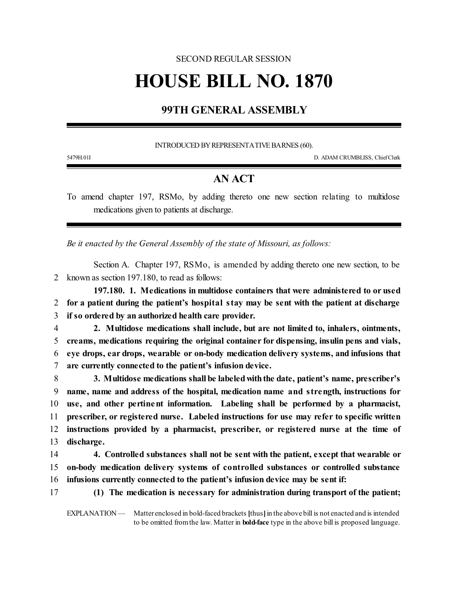## SECOND REGULAR SESSION **HOUSE BILL NO. 1870**

## **99TH GENERAL ASSEMBLY**

INTRODUCED BY REPRESENTATIVE BARNES (60).

5479H.01I D. ADAM CRUMBLISS, ChiefClerk

## **AN ACT**

To amend chapter 197, RSMo, by adding thereto one new section relating to multidose medications given to patients at discharge.

*Be it enacted by the General Assembly of the state of Missouri, as follows:*

Section A. Chapter 197, RSMo, is amended by adding thereto one new section, to be 2 known as section 197.180, to read as follows:

**197.180. 1. Medications in multidose containers that were administered to or used** 2 **for a patient during the patient's hospital stay may be sent with the patient at discharge** 3 **if so ordered by an authorized health care provider.**

- 4 **2. Multidose medications shall include, but are not limited to, inhalers, ointments,** 5 **creams, medications requiring the original container for dispensing, insulin pens and vials,** 6 **eye drops, ear drops, wearable or on-body medication delivery systems, and infusions that** 7 **are currently connected to the patient's infusion device.**
- 8 **3. Multidose medications shall be labeledwiththe date, patient's name, prescriber's** 9 **name, name and address of the hospital, medication name and strength, instructions for** 10 **use, and other pertinent information. Labeling shall be performed by a pharmacist,** 11 **prescriber, or registered nurse. Labeled instructions for use may refer to specific written** 12 **instructions provided by a pharmacist, prescriber, or registered nurse at the time of** 13 **discharge.**
- 14 **4. Controlled substances shall not be sent with the patient, except that wearable or** 15 **on-body medication delivery systems of controlled substances or controlled substance** 16 **infusions currently connected to the patient's infusion device may be sent if:**

17 **(1) The medication is necessary for administration during transport of the patient;**